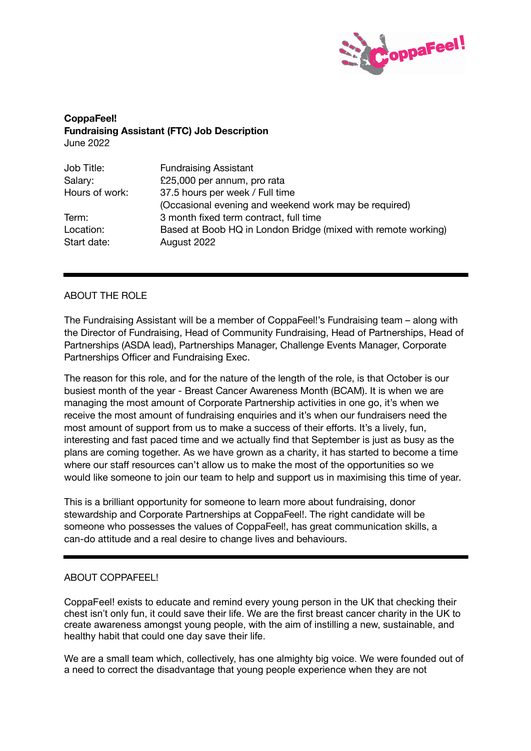

**CoppaFeel! Fundraising Assistant (FTC) Job Description** June 2022

| Job Title:     | <b>Fundraising Assistant</b>                                  |
|----------------|---------------------------------------------------------------|
| Salary:        | £25,000 per annum, pro rata                                   |
| Hours of work: | 37.5 hours per week / Full time                               |
|                | (Occasional evening and weekend work may be required)         |
| Term:          | 3 month fixed term contract, full time                        |
| Location:      | Based at Boob HQ in London Bridge (mixed with remote working) |
| Start date:    | August 2022                                                   |

# ABOUT THE ROLE

The Fundraising Assistant will be a member of CoppaFeel!'s Fundraising team – along with the Director of Fundraising, Head of Community Fundraising, Head of Partnerships, Head of Partnerships (ASDA lead), Partnerships Manager, Challenge Events Manager, Corporate Partnerships Officer and Fundraising Exec.

The reason for this role, and for the nature of the length of the role, is that October is our busiest month of the year - Breast Cancer Awareness Month (BCAM). It is when we are managing the most amount of Corporate Partnership activities in one go, it's when we receive the most amount of fundraising enquiries and it's when our fundraisers need the most amount of support from us to make a success of their efforts. It's a lively, fun, interesting and fast paced time and we actually find that September is just as busy as the plans are coming together. As we have grown as a charity, it has started to become a time where our staff resources can't allow us to make the most of the opportunities so we would like someone to join our team to help and support us in maximising this time of year.

This is a brilliant opportunity for someone to learn more about fundraising, donor stewardship and Corporate Partnerships at CoppaFeel!. The right candidate will be someone who possesses the values of CoppaFeel!, has great communication skills, a can-do attitude and a real desire to change lives and behaviours.

## ABOUT COPPAFEEL!

CoppaFeel! exists to educate and remind every young person in the UK that checking their chest isn't only fun, it could save their life. We are the first breast cancer charity in the UK to create awareness amongst young people, with the aim of instilling a new, sustainable, and healthy habit that could one day save their life.

We are a small team which, collectively, has one almighty big voice. We were founded out of a need to correct the disadvantage that young people experience when they are not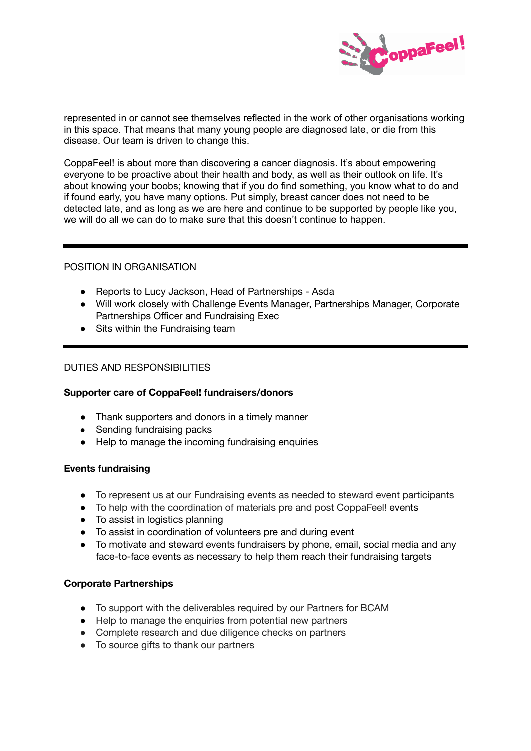

represented in or cannot see themselves reflected in the work of other organisations working in this space. That means that many young people are diagnosed late, or die from this disease. Our team is driven to change this.

CoppaFeel! is about more than discovering a cancer diagnosis. It's about empowering everyone to be proactive about their health and body, as well as their outlook on life. It's about knowing your boobs; knowing that if you do find something, you know what to do and if found early, you have many options. Put simply, breast cancer does not need to be detected late, and as long as we are here and continue to be supported by people like you, we will do all we can do to make sure that this doesn't continue to happen.

# POSITION IN ORGANISATION

- Reports to Lucy Jackson, Head of Partnerships Asda
- Will work closely with Challenge Events Manager, Partnerships Manager, Corporate Partnerships Officer and Fundraising Exec
- Sits within the Fundraising team

# DUTIES AND RESPONSIBILITIES

## **Supporter care of CoppaFeel! fundraisers/donors**

- Thank supporters and donors in a timely manner
- Sending fundraising packs
- Help to manage the incoming fundraising enquiries

## **Events fundraising**

- To represent us at our Fundraising events as needed to steward event participants
- To help with the coordination of materials pre and post CoppaFeel! events
- To assist in logistics planning
- To assist in coordination of volunteers pre and during event
- To motivate and steward events fundraisers by phone, email, social media and any face-to-face events as necessary to help them reach their fundraising targets

## **Corporate Partnerships**

- To support with the deliverables required by our Partners for BCAM
- Help to manage the enquiries from potential new partners
- Complete research and due diligence checks on partners
- To source gifts to thank our partners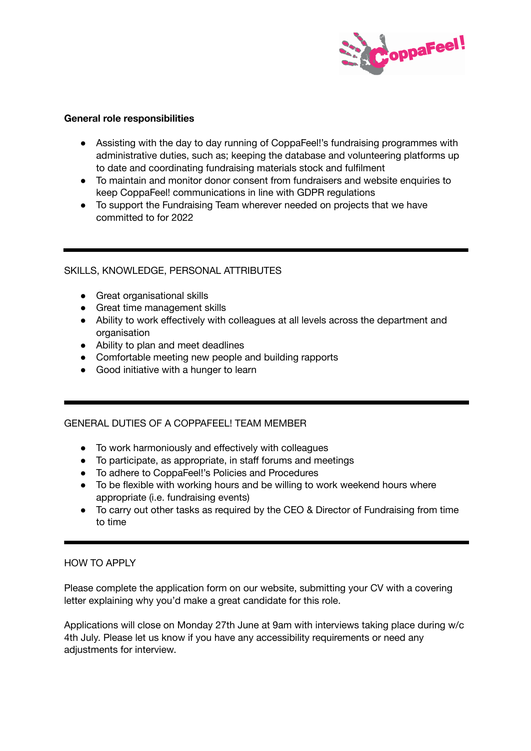

## **General role responsibilities**

- Assisting with the day to day running of CoppaFeel!'s fundraising programmes with administrative duties, such as; keeping the database and volunteering platforms up to date and coordinating fundraising materials stock and fulfilment
- To maintain and monitor donor consent from fundraisers and website enquiries to keep CoppaFeel! communications in line with GDPR regulations
- To support the Fundraising Team wherever needed on projects that we have committed to for 2022

# SKILLS, KNOWLEDGE, PERSONAL ATTRIBUTES

- Great organisational skills
- Great time management skills
- Ability to work effectively with colleagues at all levels across the department and organisation
- Ability to plan and meet deadlines
- Comfortable meeting new people and building rapports
- Good initiative with a hunger to learn

# GENERAL DUTIES OF A COPPAFEEL! TEAM MEMBER

- To work harmoniously and effectively with colleagues
- To participate, as appropriate, in staff forums and meetings
- To adhere to CoppaFeel!'s Policies and Procedures
- To be flexible with working hours and be willing to work weekend hours where appropriate (i.e. fundraising events)
- To carry out other tasks as required by the CEO & Director of Fundraising from time to time

# HOW TO APPLY

Please complete the application form on our website, submitting your CV with a covering letter explaining why you'd make a great candidate for this role.

Applications will close on Monday 27th June at 9am with interviews taking place during w/c 4th July. Please let us know if you have any accessibility requirements or need any adjustments for interview.